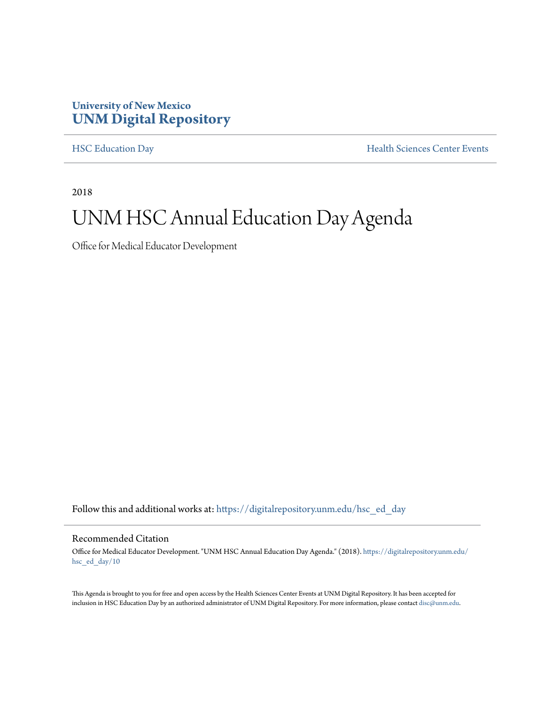#### **University of New Mexico [UNM Digital Repository](https://digitalrepository.unm.edu?utm_source=digitalrepository.unm.edu%2Fhsc_ed_day%2F10&utm_medium=PDF&utm_campaign=PDFCoverPages)**

[HSC Education Day](https://digitalrepository.unm.edu/hsc_ed_day?utm_source=digitalrepository.unm.edu%2Fhsc_ed_day%2F10&utm_medium=PDF&utm_campaign=PDFCoverPages) **[Health Sciences Center Events](https://digitalrepository.unm.edu/hsc_events?utm_source=digitalrepository.unm.edu%2Fhsc_ed_day%2F10&utm_medium=PDF&utm_campaign=PDFCoverPages)** 

2018

### UNM HSC Annual Education Day Agenda

Office for Medical Educator Development

Follow this and additional works at: [https://digitalrepository.unm.edu/hsc\\_ed\\_day](https://digitalrepository.unm.edu/hsc_ed_day?utm_source=digitalrepository.unm.edu%2Fhsc_ed_day%2F10&utm_medium=PDF&utm_campaign=PDFCoverPages)

#### Recommended Citation

Office for Medical Educator Development. "UNM HSC Annual Education Day Agenda." (2018). [https://digitalrepository.unm.edu/](https://digitalrepository.unm.edu/hsc_ed_day/10?utm_source=digitalrepository.unm.edu%2Fhsc_ed_day%2F10&utm_medium=PDF&utm_campaign=PDFCoverPages) [hsc\\_ed\\_day/10](https://digitalrepository.unm.edu/hsc_ed_day/10?utm_source=digitalrepository.unm.edu%2Fhsc_ed_day%2F10&utm_medium=PDF&utm_campaign=PDFCoverPages)

This Agenda is brought to you for free and open access by the Health Sciences Center Events at UNM Digital Repository. It has been accepted for inclusion in HSC Education Day by an authorized administrator of UNM Digital Repository. For more information, please contact [disc@unm.edu](mailto:disc@unm.edu).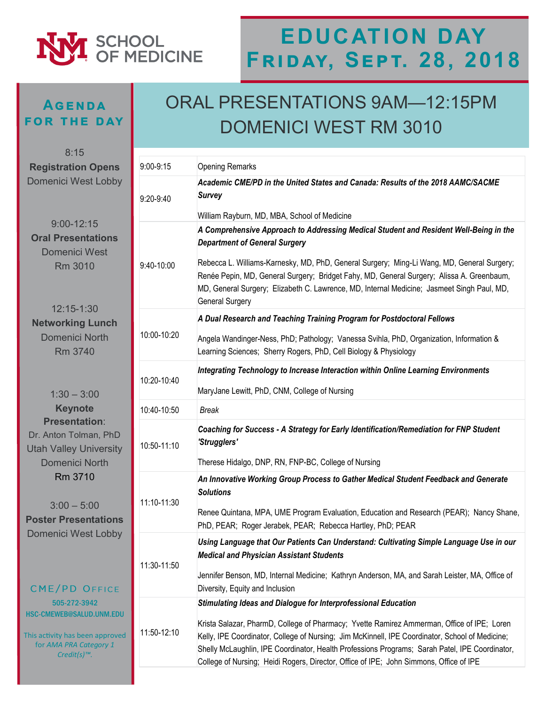# SCHOOL<br>OF MEDICINE

# **EDUCATION DAY Friday, Sept. 28, 2018**

#### **Agenda for the day**

8:15

505-272-3942 HSC-CMEWEB@SALUD.U

This activity has been a for *AMA PRA Categ Credit(s)™.*

**Poster Presenta** Domenici West I

### ORAL PRESENTATIONS 9AM—12:15PM DOMENICI WEST RM 3010

| <b>Registration Opens</b>                                                                                                                                     | 9:00-9:15   | <b>Opening Remarks</b>                                                                                                                                                                                                                                                                                          |
|---------------------------------------------------------------------------------------------------------------------------------------------------------------|-------------|-----------------------------------------------------------------------------------------------------------------------------------------------------------------------------------------------------------------------------------------------------------------------------------------------------------------|
| Domenici West Lobby                                                                                                                                           | 9:20-9:40   | Academic CME/PD in the United States and Canada: Results of the 2018 AAMC/SACME<br><b>Survey</b>                                                                                                                                                                                                                |
| $9:00 - 12:15$<br><b>Oral Presentations</b><br>Domenici West<br><b>Rm 3010</b>                                                                                |             | William Rayburn, MD, MBA, School of Medicine                                                                                                                                                                                                                                                                    |
|                                                                                                                                                               | 9:40-10:00  | A Comprehensive Approach to Addressing Medical Student and Resident Well-Being in the<br><b>Department of General Surgery</b>                                                                                                                                                                                   |
|                                                                                                                                                               |             | Rebecca L. Williams-Karnesky, MD, PhD, General Surgery; Ming-Li Wang, MD, General Surgery;<br>Renée Pepin, MD, General Surgery; Bridget Fahy, MD, General Surgery; Alissa A. Greenbaum,<br>MD, General Surgery; Elizabeth C. Lawrence, MD, Internal Medicine; Jasmeet Singh Paul, MD,<br><b>General Surgery</b> |
| 12:15-1:30<br><b>Networking Lunch</b>                                                                                                                         | 10:00-10:20 | A Dual Research and Teaching Training Program for Postdoctoral Fellows                                                                                                                                                                                                                                          |
| <b>Domenici North</b><br>Rm 3740<br>$1:30 - 3:00$                                                                                                             |             | Angela Wandinger-Ness, PhD; Pathology; Vanessa Svihla, PhD, Organization, Information &<br>Learning Sciences; Sherry Rogers, PhD, Cell Biology & Physiology                                                                                                                                                     |
|                                                                                                                                                               | 10:20-10:40 | Integrating Technology to Increase Interaction within Online Learning Environments                                                                                                                                                                                                                              |
|                                                                                                                                                               |             | MaryJane Lewitt, PhD, CNM, College of Nursing                                                                                                                                                                                                                                                                   |
| <b>Keynote</b>                                                                                                                                                | 10:40-10:50 | <b>Break</b>                                                                                                                                                                                                                                                                                                    |
| <b>Presentation:</b><br>Dr. Anton Tolman, PhD<br><b>Jtah Valley University</b>                                                                                | 10:50-11:10 | Coaching for Success - A Strategy for Early Identification/Remediation for FNP Student<br>'Strugglers'                                                                                                                                                                                                          |
| Domenici North                                                                                                                                                |             | Therese Hidalgo, DNP, RN, FNP-BC, College of Nursing                                                                                                                                                                                                                                                            |
| Rm 3710                                                                                                                                                       |             | An Innovative Working Group Process to Gather Medical Student Feedback and Generate<br><b>Solutions</b>                                                                                                                                                                                                         |
| $3:00 - 5:00$<br><b>Oster Presentations</b>                                                                                                                   | 11:10-11:30 | Renee Quintana, MPA, UME Program Evaluation, Education and Research (PEAR); Nancy Shane,<br>PhD, PEAR; Roger Jerabek, PEAR; Rebecca Hartley, PhD; PEAR                                                                                                                                                          |
| Domenici West Lobby<br>CME/PD OFFICE<br>505-272-3942<br>SC-CMEWEB@SALUD.UNM.EDU<br>is activity has been approved<br>for AMA PRA Category 1<br>$Credit(s)TM$ . | 11:30-11:50 | Using Language that Our Patients Can Understand: Cultivating Simple Language Use in our<br><b>Medical and Physician Assistant Students</b>                                                                                                                                                                      |
|                                                                                                                                                               |             | Jennifer Benson, MD, Internal Medicine; Kathryn Anderson, MA, and Sarah Leister, MA, Office of<br>Diversity, Equity and Inclusion                                                                                                                                                                               |
|                                                                                                                                                               | 11:50-12:10 | Stimulating Ideas and Dialogue for Interprofessional Education                                                                                                                                                                                                                                                  |
|                                                                                                                                                               |             | Krista Salazar, PharmD, College of Pharmacy; Yvette Ramirez Ammerman, Office of IPE; Loren<br>Kelly, IPE Coordinator, College of Nursing; Jim McKinnell, IPE Coordinator, School of Medicine;<br>Shelly McLaughlin, IPE Coordinator, Health Professions Programs; Sarah Patel, IPE Coordinator,                 |
|                                                                                                                                                               |             | College of Nursing; Heidi Rogers, Director, Office of IPE; John Simmons, Office of IPE                                                                                                                                                                                                                          |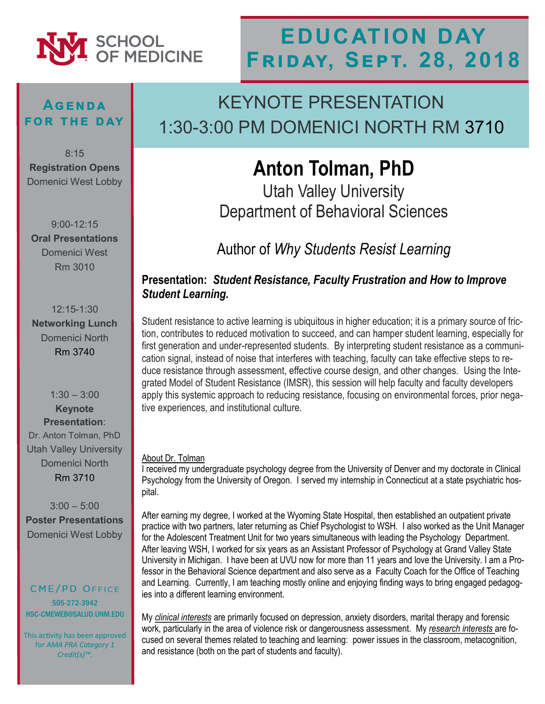

#### **Agenda for the day**

8:15 **Registration Opens** Domenici West Lobby

9:00-12:15 **Oral Presentations**  Domenici West Rm 3010

12:15-1:30 **Networking Lunch**  Domenici North Rm 3740

 $1:30 - 3:00$ **Keynote Presentation**: Dr. Anton Tolman, PhD Utah Valley University Domenici North Rm 3710

 $3:00 - 5:00$ **Poster Presentations** Domenici West Lobby

CME/PD OFFICE 505-272-3942 HSC-CMEWEB@SALUD.UNM.EDU

This activity has been approved for *AMA PRA Category 1 Credit(s)™.*

### KEYNOTE PRESENTATION 1:30-3:00 PM DOMENICI NORTH RM 3710

# **Anton Tolman, PhD**

Utah Valley University Department of Behavioral Sciences

Author of *Why Students Resist Learning*

#### **Presentation:** *Student Resistance, Faculty Frustration and How to Improve Student Learning.*

Student resistance to active learning is ubiquitous in higher education; it is a primary source of friction, contributes to reduced motivation to succeed, and can hamper student learning, especially for first generation and under-represented students. By interpreting student resistance as a communication signal, instead of noise that interferes with teaching, faculty can take effective steps to reduce resistance through assessment, effective course design, and other changes. Using the Integrated Model of Student Resistance (IMSR), this session will help faculty and faculty developers apply this systemic approach to reducing resistance, focusing on environmental forces, prior negative experiences, and institutional culture.

#### About Dr. Tolman

I received my undergraduate psychology degree from the University of Denver and my doctorate in Clinical Psychology from the University of Oregon. I served my internship in Connecticut at a state psychiatric hospital.

After earning my degree, I worked at the Wyoming State Hospital, then established an outpatient private practice with two partners, later returning as Chief Psychologist to WSH. I also worked as the Unit Manager for the Adolescent Treatment Unit for two years simultaneous with leading the Psychology Department. After leaving WSH, I worked for six years as an Assistant Professor of Psychology at Grand Valley State University in Michigan. I have been at UVU now for more than 11 years and love the University. I am a Professor in the Behavioral Science department and also serve as a Faculty Coach for the Office of Teaching and Learning. Currently, I am teaching mostly online and enjoying finding ways to bring engaged pedagogies into a different learning environment.

My *clinical interests* are primarily focused on depression, anxiety disorders, marital therapy and forensic work, particularly in the area of violence risk or dangerousness assessment. My *research interests* are focused on several themes related to teaching and learning: power issues in the classroom, metacognition, and resistance (both on the part of students and faculty).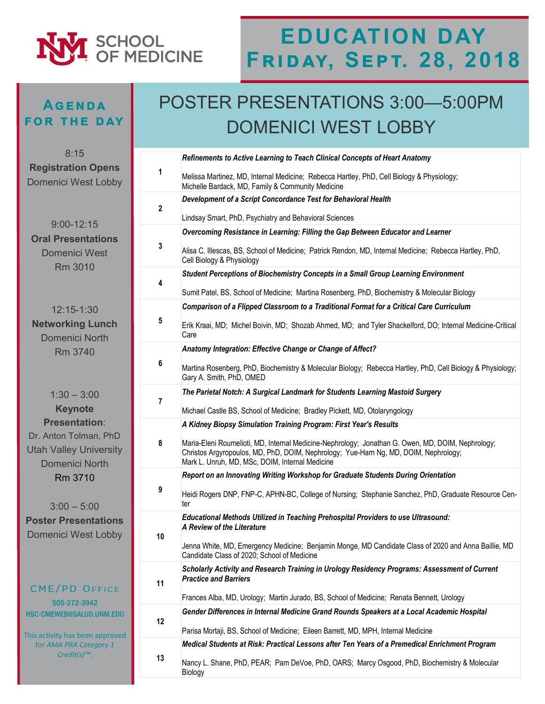

#### **Agenda for the day**

### POSTER PRESENTATIONS 3:00—5:00PM DOMENICI WEST LOBBY

| 8:15                                                                            |              | Refinements to Active Learning to Teach Clinical Concepts of Heart Anatomy                                                                                                                                                                   |
|---------------------------------------------------------------------------------|--------------|----------------------------------------------------------------------------------------------------------------------------------------------------------------------------------------------------------------------------------------------|
| <b>Registration Opens</b><br><b>Domenici West Lobby</b>                         | 1            | Melissa Martinez, MD, Internal Medicine; Rebecca Hartley, PhD, Cell Biology & Physiology;<br>Michelle Bardack, MD, Family & Community Medicine                                                                                               |
|                                                                                 | $\mathbf{2}$ | Development of a Script Concordance Test for Behavioral Health                                                                                                                                                                               |
|                                                                                 |              | Lindsay Smart, PhD, Psychiatry and Behavioral Sciences                                                                                                                                                                                       |
| $9:00 - 12:15$<br><b>Oral Presentations</b><br><b>Domenici West</b><br>Rm 3010  | 3            | Overcoming Resistance in Learning: Filling the Gap Between Educator and Learner                                                                                                                                                              |
|                                                                                 |              | Alisa C. Illescas, BS, School of Medicine; Patrick Rendon, MD, Internal Medicine; Rebecca Hartley, PhD,<br>Cell Biology & Physiology                                                                                                         |
|                                                                                 | 4            | Student Perceptions of Biochemistry Concepts in a Small Group Learning Environment                                                                                                                                                           |
|                                                                                 |              | Sumit Patel, BS, School of Medicine; Martina Rosenberg, PhD, Biochemistry & Molecular Biology                                                                                                                                                |
| 12:15-1:30                                                                      | 5            | Comparison of a Flipped Classroom to a Traditional Format for a Critical Care Curriculum                                                                                                                                                     |
| <b>Networking Lunch</b><br><b>Domenici North</b>                                |              | Erik Kraai, MD; Michel Boivin, MD; Shozab Ahmed, MD; and Tyler Shackelford, DO; Internal Medicine-Critical<br>Care                                                                                                                           |
| <b>Rm 3740</b>                                                                  |              | Anatomy Integration: Effective Change or Change of Affect?                                                                                                                                                                                   |
|                                                                                 | 6            | Martina Rosenberg, PhD, Biochemistry & Molecular Biology; Rebecca Hartley, PhD, Cell Biology & Physiology;<br>Gary A. Smith, PhD, OMED                                                                                                       |
| $1:30 - 3:00$                                                                   |              | The Parietal Notch: A Surgical Landmark for Students Learning Mastoid Surgery                                                                                                                                                                |
| <b>Keynote</b>                                                                  | 7            | Michael Castle BS, School of Medicine; Bradley Pickett, MD, Otolaryngology                                                                                                                                                                   |
| <b>Presentation:</b>                                                            |              | A Kidney Biopsy Simulation Training Program: First Year's Results                                                                                                                                                                            |
| Dr. Anton Tolman, PhD<br><b>Utah Valley University</b><br><b>Domenici North</b> | 8            | Maria-Eleni Roumelioti, MD, Internal Medicine-Nephrology; Jonathan G. Owen, MD, DOIM, Nephrology;<br>Christos Argyropoulos, MD, PhD, DOIM, Nephrology; Yue-Harn Ng, MD, DOIM, Nephrology;<br>Mark L. Unruh, MD, MSc, DOIM, Internal Medicine |
| Rm 3710                                                                         |              | Report on an Innovating Writing Workshop for Graduate Students During Orientation                                                                                                                                                            |
| $3:00 - 5:00$                                                                   | 9            | Heidi Rogers DNP, FNP-C, APHN-BC, College of Nursing; Stephanie Sanchez, PhD, Graduate Resource Cen-<br>ter                                                                                                                                  |
| <b>Poster Presentations</b><br><b>Domenici West Lobby</b>                       | 10           | Educational Methods Utilized in Teaching Prehospital Providers to use Ultrasound:<br>A Review of the Literature                                                                                                                              |
|                                                                                 |              | Jenna White, MD, Emergency Medicine; Benjamin Monge, MD Candidate Class of 2020 and Anna Baillie, MD<br>Candidate Class of 2020; School of Medicine                                                                                          |
|                                                                                 | 11           | Scholarly Activity and Research Training in Urology Residency Programs: Assessment of Current<br><b>Practice and Barriers</b>                                                                                                                |
| CME/PD OFFICE<br>505-272-3942                                                   |              | Frances Alba, MD, Urology; Martin Jurado, BS, School of Medicine; Renata Bennett, Urology                                                                                                                                                    |
| HSC-CMEWEB@SALUD.UNM.EDU                                                        | 12           | Gender Differences in Internal Medicine Grand Rounds Speakers at a Local Academic Hospital                                                                                                                                                   |
| This activity has been approved                                                 |              | Parisa Mortaji, BS, School of Medicine; Eileen Barrett, MD, MPH, Internal Medicine                                                                                                                                                           |
| for AMA PRA Category 1                                                          |              | Medical Students at Risk: Practical Lessons after Ten Years of a Premedical Enrichment Program                                                                                                                                               |
| $Credit(s)TM$ .                                                                 | 13           | Nancy L. Shane, PhD, PEAR; Pam DeVoe, PhD, OARS; Marcy Osgood, PhD, Biochemistry & Molecular<br>Biology                                                                                                                                      |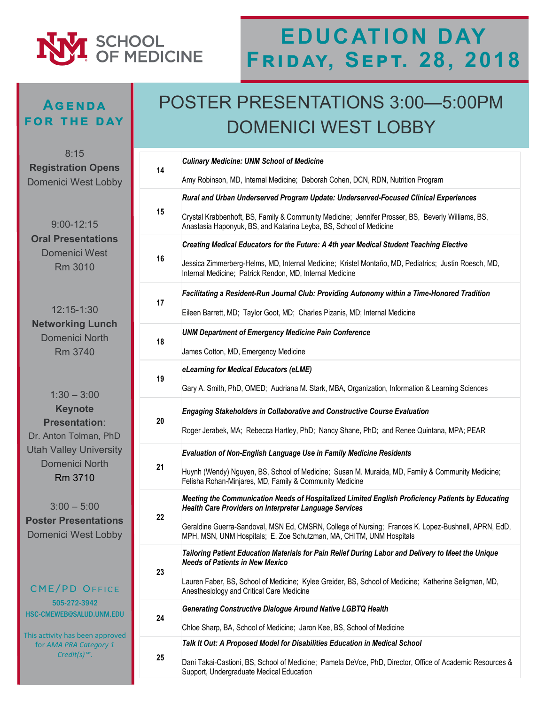

#### **Agenda for the day**

### POSTER PRESENTATIONS 3:00—5:00PM DOMENICI WEST LOBBY

| 8:15<br><b>Registration Opens</b>                                                                                  |    | <b>Culinary Medicine: UNM School of Medicine</b>                                                                                                                           |
|--------------------------------------------------------------------------------------------------------------------|----|----------------------------------------------------------------------------------------------------------------------------------------------------------------------------|
| <b>Domenici West Lobby</b>                                                                                         | 14 | Amy Robinson, MD, Internal Medicine; Deborah Cohen, DCN, RDN, Nutrition Program                                                                                            |
| $9:00 - 12:15$<br><b>Oral Presentations</b><br><b>Domenici West</b><br>Rm 3010                                     | 15 | Rural and Urban Underserved Program Update: Underserved-Focused Clinical Experiences                                                                                       |
|                                                                                                                    |    | Crystal Krabbenhoft, BS, Family & Community Medicine; Jennifer Prosser, BS, Beverly Williams, BS,<br>Anastasia Haponyuk, BS, and Katarina Leyba, BS, School of Medicine    |
|                                                                                                                    | 16 | Creating Medical Educators for the Future: A 4th year Medical Student Teaching Elective                                                                                    |
|                                                                                                                    |    | Jessica Zimmerberg-Helms, MD, Internal Medicine; Kristel Montaño, MD, Pediatrics; Justin Roesch, MD,<br>Internal Medicine; Patrick Rendon, MD, Internal Medicine           |
|                                                                                                                    |    | Facilitating a Resident-Run Journal Club: Providing Autonomy within a Time-Honored Tradition                                                                               |
| 12:15-1:30                                                                                                         | 17 | Eileen Barrett, MD; Taylor Goot, MD; Charles Pizanis, MD; Internal Medicine                                                                                                |
| <b>Networking Lunch</b><br><b>Domenici North</b>                                                                   |    | <b>UNM Department of Emergency Medicine Pain Conference</b>                                                                                                                |
| <b>Rm 3740</b>                                                                                                     | 18 | James Cotton, MD, Emergency Medicine                                                                                                                                       |
|                                                                                                                    |    | eLearning for Medical Educators (eLME)                                                                                                                                     |
| $1:30 - 3:00$                                                                                                      | 19 | Gary A. Smith, PhD, OMED; Audriana M. Stark, MBA, Organization, Information & Learning Sciences                                                                            |
| <b>Keynote</b>                                                                                                     | 20 | <b>Engaging Stakeholders in Collaborative and Constructive Course Evaluation</b>                                                                                           |
| <b>Presentation:</b><br>Dr. Anton Tolman, PhD<br><b>Utah Valley University</b><br><b>Domenici North</b><br>Rm 3710 |    | Roger Jerabek, MA; Rebecca Hartley, PhD; Nancy Shane, PhD; and Renee Quintana, MPA; PEAR                                                                                   |
|                                                                                                                    | 21 | Evaluation of Non-English Language Use in Family Medicine Residents                                                                                                        |
|                                                                                                                    |    | Huynh (Wendy) Nguyen, BS, School of Medicine; Susan M. Muraida, MD, Family & Community Medicine;<br>Felisha Rohan-Minjares, MD, Family & Community Medicine                |
| $3:00 - 5:00$<br><b>Poster Presentations</b><br><b>Domenici West Lobby</b>                                         | 22 | Meeting the Communication Needs of Hospitalized Limited English Proficiency Patients by Educating<br><b>Health Care Providers on Interpreter Language Services</b>         |
|                                                                                                                    |    | Geraldine Guerra-Sandoval, MSN Ed, CMSRN, College of Nursing; Frances K. Lopez-Bushnell, APRN, EdD,<br>MPH, MSN, UNM Hospitals; E. Zoe Schutzman, MA, CHITM, UNM Hospitals |
| CME/PD OFFICE                                                                                                      | 23 | Tailoring Patient Education Materials for Pain Relief During Labor and Delivery to Meet the Unique<br><b>Needs of Patients in New Mexico</b>                               |
|                                                                                                                    |    | Lauren Faber, BS, School of Medicine; Kylee Greider, BS, School of Medicine; Katherine Seligman, MD,<br>Anesthesiology and Critical Care Medicine                          |
| 505-272-3942<br>HSC-CMEWEB@SALUD.UNM.EDU                                                                           |    | <b>Generating Constructive Dialogue Around Native LGBTQ Health</b>                                                                                                         |
| This activity has been approved                                                                                    | 24 | Chloe Sharp, BA, School of Medicine; Jaron Kee, BS, School of Medicine                                                                                                     |
| for AMA PRA Category 1<br>$Credit(s)TM$ .                                                                          | 25 | Talk It Out: A Proposed Model for Disabilities Education in Medical School                                                                                                 |
|                                                                                                                    |    | Dani Takai-Castioni, BS, School of Medicine; Pamela DeVoe, PhD, Director, Office of Academic Resources &<br>Support, Undergraduate Medical Education                       |